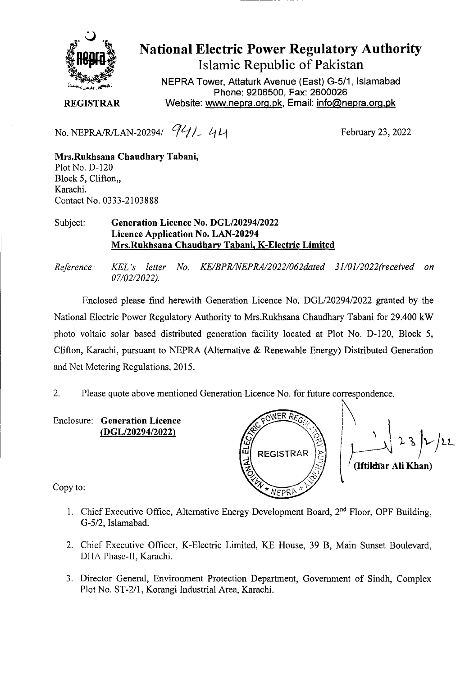

National Electric Power Regulatory Authority Islamic Republic of Pakistan

**NEPRA Tower, Attaturk Avenue (East) G-511, Islamabad Phone: 9206500, Fax: 2600026 REGISTRAR Website: www.nepra.org.Dk, Email: info@nepra.orq.øk** 

No. NEPRA/R/LAN-20294/ <sup>7</sup>//<sub>-</sub> 44

**Mrs.Rukhsana Chaudhary Tabani,**  Plot No. D-120 Block *5,* Clifton,, Karachi. Contact No. 0333-2103888

## Subject: **Generation Licence No.** *DGL120294/2022*  **Licence Application No. LAN-20294 Mrs.Rukhsana Chaudhary Tabani, K-Electric Limited**

*Reference. KEL 's letter No. KE/BPR/NEPRA/2022/062dated 31/01/2022(received on 07/02/2022).* 

Enclosed please find herewith Generation Licence No. DGL/20294/2022 granted by the National Electric Power Regulatory Authority to Mrs.Rukhsana Chaudhary Tabani for 29.400 kW photo voltaic solar based distributed generation facility located at Plot No. D-120, Block *5,*  Clifton, Karachi, pursuant to NEPRA (Alternative & Renewable Energy) Distributed Generation and Net Metering Regulations, 2015.

2. Please quote above mentioned Generation Licence No. for future correspondence.

Enclosure: **Generation Licence (DGL/20294/2022)** 



**(Iftikhar Ali Khan)** 

Copy to:

- 1. Chief Executive Office, Alternative Energy Development Board, 2<sup>nd</sup> Floor, OPF Building, G-5/2, Islamabad.
- 2. Chief Executive Officer, K-Electric Limited, KE House, 39 B, Main Sunset Boulevard, DHA Phase-II, Karachi.
- 3. Director General, Environment Protection Department, Government of Sindh, Complex Plot No. ST-2/l, Korangi Industrial Area, Karachi.